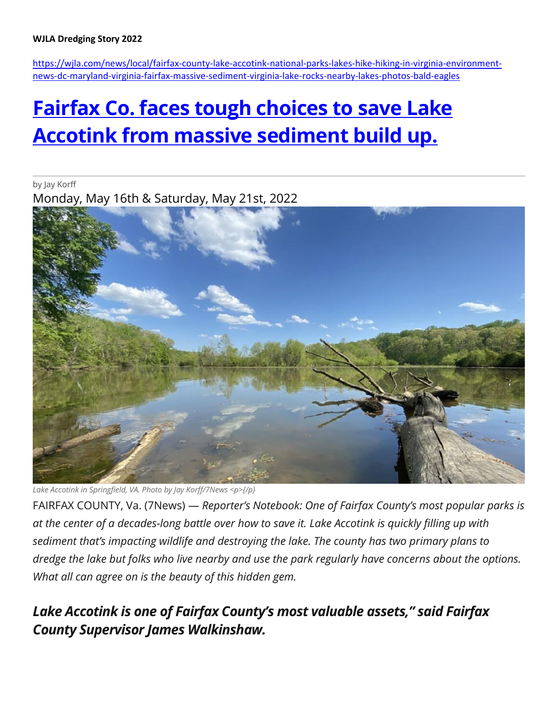#### **WJLA Dredging Story 2022**

[https://wjla.com/news/local/fairfax-county-lake-accotink-national-parks-lakes-hike-hiking-in-virginia-environment](https://wjla.com/news/local/fairfax-county-lake-accotink-national-parks-lakes-hike-hiking-in-virginia-environment-news-dc-maryland-virginia-fairfax-massive-sediment-virginia-lake-rocks-nearby-lakes-photos-bald-eagles)[news-dc-maryland-virginia-fairfax-massive-sediment-virginia-lake-rocks-nearby-lakes-photos-bald-eagles](https://wjla.com/news/local/fairfax-county-lake-accotink-national-parks-lakes-hike-hiking-in-virginia-environment-news-dc-maryland-virginia-fairfax-massive-sediment-virginia-lake-rocks-nearby-lakes-photos-bald-eagles)

# **[Fairfax Co. faces tough choices to save Lake](https://wjla.com/news/local/fairfax-county-lake-accotink-national-parks-lakes-hike-hiking-in-virginia-environment-news-dc-maryland-virginia-fairfax-massive-sediment-virginia-lake-rocks-nearby-lakes-photos-bald-eagles)  [Accotink from massive sediment build up.](https://wjla.com/news/local/fairfax-county-lake-accotink-national-parks-lakes-hike-hiking-in-virginia-environment-news-dc-maryland-virginia-fairfax-massive-sediment-virginia-lake-rocks-nearby-lakes-photos-bald-eagles)**

by Jay Korff

Monday, May 16th & Saturday, May 21st, 2022



*Lake Accotink in Springfield, VA. Photo by Jay Korff/7News <p>{/p}*

FAIRFAX COUNTY, Va. (7News) — *Reporter's Notebook: One of Fairfax County's most popular parks is at the center of a decades-long battle over how to save it. Lake Accotink is quickly filling up with sediment that's impacting wildlife and destroying the lake. The county has two primary plans to dredge the lake but folks who live nearby and use the park regularly have concerns about the options. What all can agree on is the beauty of this hidden gem.*

# *Lake Accotink is one of Fairfax County's most valuable assets," said Fairfax County Supervisor James Walkinshaw.*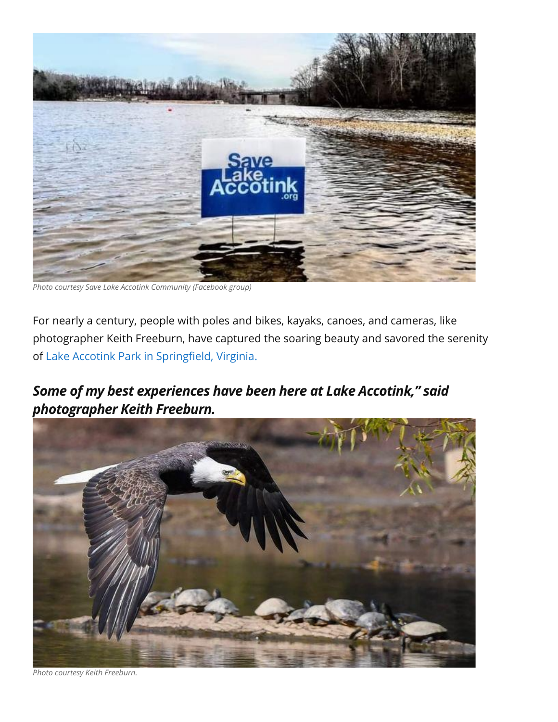

*Photo courtesy Save Lake Accotink Community (Facebook group)*

For nearly a century, people with poles and bikes, kayaks, canoes, and cameras, like photographer Keith Freeburn, have captured the soaring beauty and savored the serenity of [Lake Accotink Park in Springfield, Virginia.](https://www.fairfaxcounty.gov/parks/lake-accotink)

# *Some of my best experiences have been here at Lake Accotink," said photographer Keith Freeburn.*



*Photo courtesy Keith Freeburn.*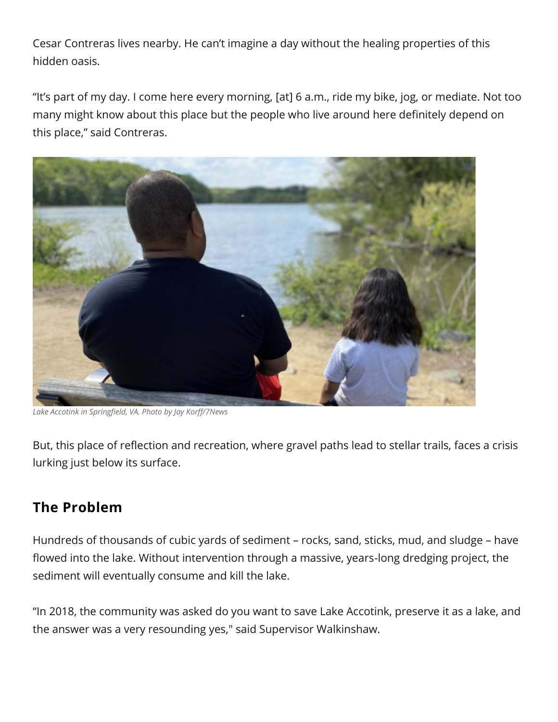Cesar Contreras lives nearby. He can't imagine a day without the healing properties of this hidden oasis.

"It's part of my day. I come here every morning, [at] 6 a.m., ride my bike, jog, or mediate. Not too many might know about this place but the people who live around here definitely depend on this place," said Contreras.



*Lake Accotink in Springfield, VA. Photo by Jay Korff/7News*

But, this place of reflection and recreation, where gravel paths lead to stellar trails, faces a crisis lurking just below its surface.

# **The Problem**

Hundreds of thousands of cubic yards of sediment – rocks, sand, sticks, mud, and sludge – have flowed into the lake. Without intervention through a massive, years-long dredging project, the sediment will eventually consume and kill the lake.

"In 2018, the community was asked do you want to save Lake Accotink, preserve it as a lake, and the answer was a very resounding yes," said Supervisor Walkinshaw.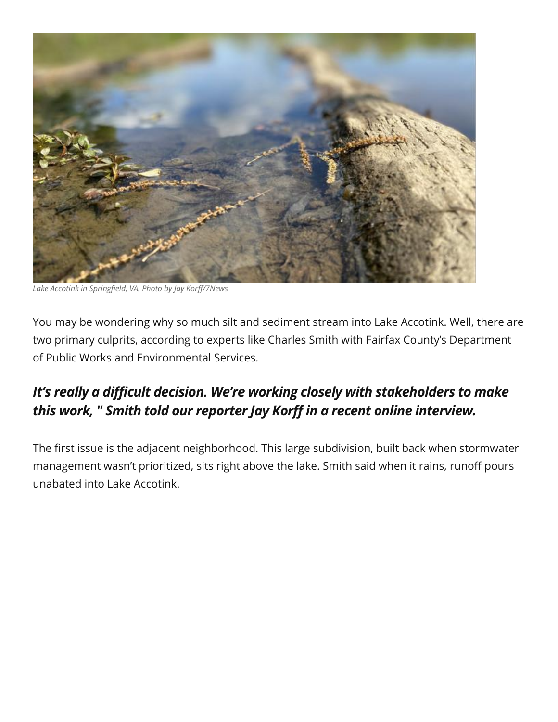

*Lake Accotink in Springfield, VA. Photo by Jay Korff/7News*

You may be wondering why so much silt and sediment stream into Lake Accotink. Well, there are two primary culprits, according to experts like Charles Smith with Fairfax County's Department of Public Works and Environmental Services.

# *It's really a difficult decision. We're working closely with stakeholders to make this work, " Smith told our reporter Jay Korff in a recent online interview.*

The first issue is the adjacent neighborhood. This large subdivision, built back when stormwater management wasn't prioritized, sits right above the lake. Smith said when it rains, runoff pours unabated into Lake Accotink.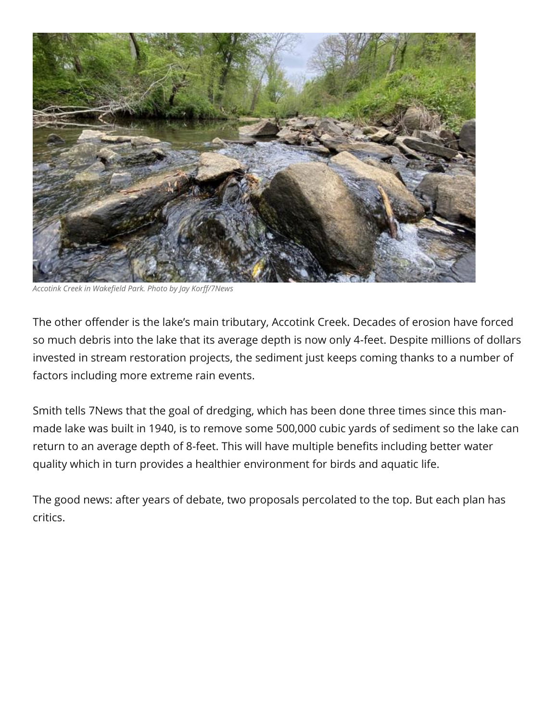

*Accotink Creek in Wakefield Park. Photo by Jay Korff/7News*

The other offender is the lake's main tributary, Accotink Creek. Decades of erosion have forced so much debris into the lake that its average depth is now only 4-feet. Despite millions of dollars invested in stream restoration projects, the sediment just keeps coming thanks to a number of factors including more extreme rain events.

Smith tells 7News that the goal of dredging, which has been done three times since this manmade lake was built in 1940, is to remove some 500,000 cubic yards of sediment so the lake can return to an average depth of 8-feet. This will have multiple benefits including better water quality which in turn provides a healthier environment for birds and aquatic life.

The good news: after years of debate, two proposals percolated to the top. But each plan has critics.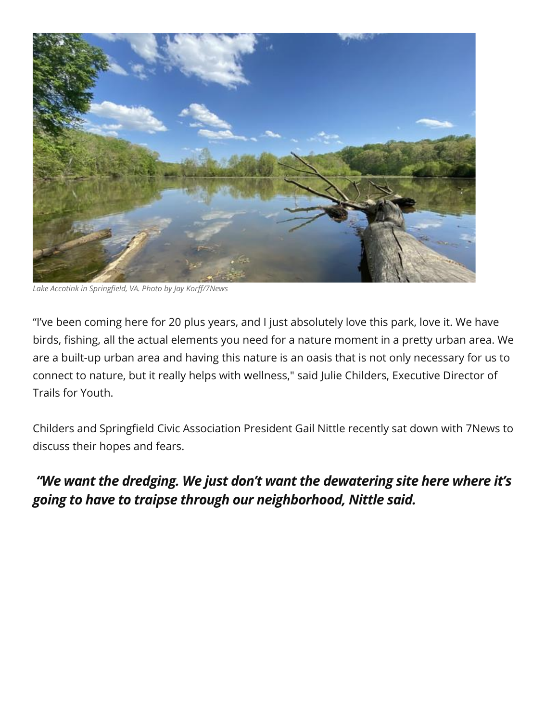

*Lake Accotink in Springfield, VA. Photo by Jay Korff/7News*

"I've been coming here for 20 plus years, and I just absolutely love this park, love it. We have birds, fishing, all the actual elements you need for a nature moment in a pretty urban area. We are a built-up urban area and having this nature is an oasis that is not only necessary for us to connect to nature, but it really helps with wellness," said Julie Childers, Executive Director of Trails for Youth.

Childers and Springfield Civic Association President Gail Nittle recently sat down with 7News to discuss their hopes and fears.

# *"We want the dredging. We just don't want the dewatering site here where it's going to have to traipse through our neighborhood, Nittle said.*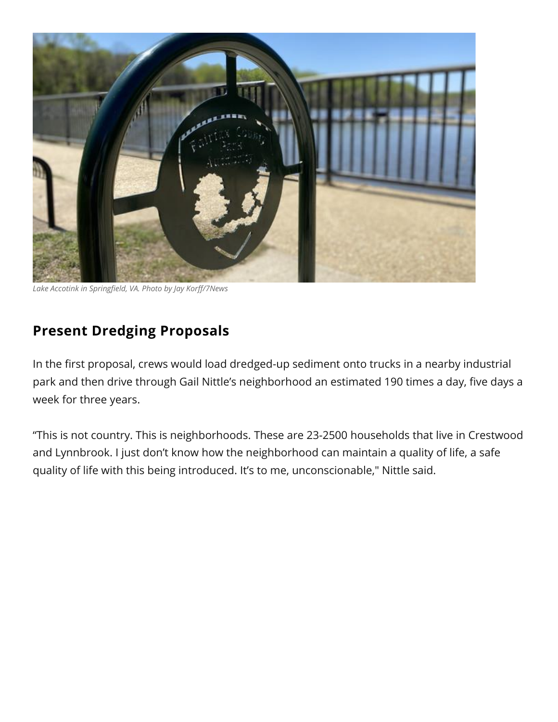

*Lake Accotink in Springfield, VA. Photo by Jay Korff/7News*

# **Present Dredging Proposals**

In the first proposal, crews would load dredged-up sediment onto trucks in a nearby industrial park and then drive through Gail Nittle's neighborhood an estimated 190 times a day, five days a week for three years.

"This is not country. This is neighborhoods. These are 23-2500 households that live in Crestwood and Lynnbrook. I just don't know how the neighborhood can maintain a quality of life, a safe quality of life with this being introduced. It's to me, unconscionable," Nittle said.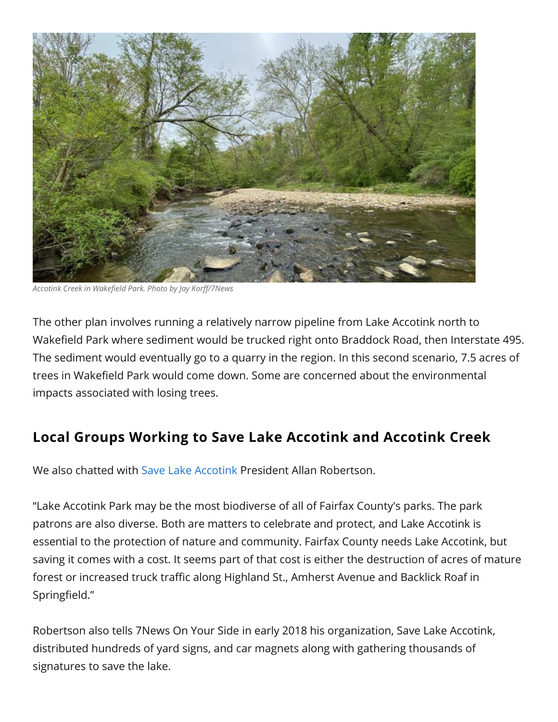

*Accotink Creek in Wakefield Park. Photo by Jay Korff/7News*

The other plan involves running a relatively narrow pipeline from Lake Accotink north to Wakefield Park where sediment would be trucked right onto Braddock Road, then Interstate 495. The sediment would eventually go to a quarry in the region. In this second scenario, 7.5 acres of trees in Wakefield Park would come down. Some are concerned about the environmental impacts associated with losing trees.

#### **Local Groups Working to Save Lake Accotink and Accotink Creek**

We also chatted with [Save Lake Accotink](https://savelakeaccotink.org/) President Allan Robertson.

"Lake Accotink Park may be the most biodiverse of all of Fairfax County's parks. The park patrons are also diverse. Both are matters to celebrate and protect, and Lake Accotink is essential to the protection of nature and community. Fairfax County needs Lake Accotink, but saving it comes with a cost. It seems part of that cost is either the destruction of acres of mature forest or increased truck traffic along Highland St., Amherst Avenue and Backlick Roaf in Springfield."

Robertson also tells 7News On Your Side in early 2018 his organization, Save Lake Accotink, distributed hundreds of yard signs, and car magnets along with gathering thousands of signatures to save the lake.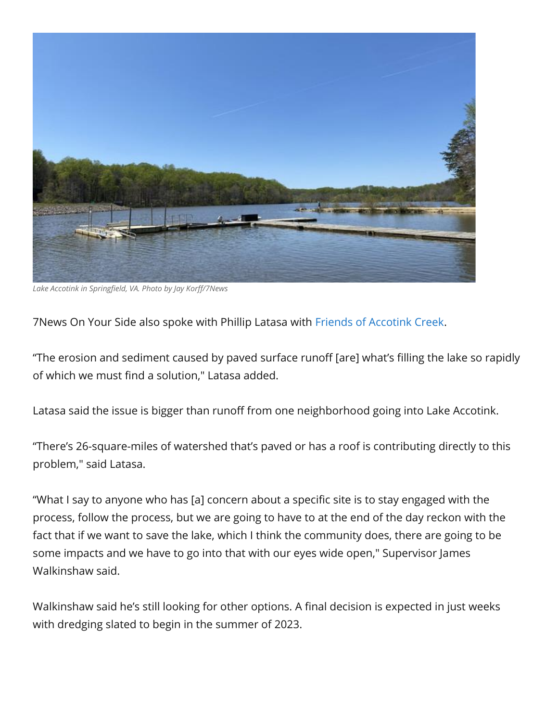

*Lake Accotink in Springfield, VA. Photo by Jay Korff/7News*

7News On Your Side also spoke with Phillip Latasa with [Friends of Accotink Creek.](https://www.accotink.org/)

"The erosion and sediment caused by paved surface runoff [are] what's filling the lake so rapidly of which we must find a solution," Latasa added.

Latasa said the issue is bigger than runoff from one neighborhood going into Lake Accotink.

"There's 26-square-miles of watershed that's paved or has a roof is contributing directly to this problem," said Latasa.

"What I say to anyone who has [a] concern about a specific site is to stay engaged with the process, follow the process, but we are going to have to at the end of the day reckon with the fact that if we want to save the lake, which I think the community does, there are going to be some impacts and we have to go into that with our eyes wide open," Supervisor James Walkinshaw said.

Walkinshaw said he's still looking for other options. A final decision is expected in just weeks with dredging slated to begin in the summer of 2023.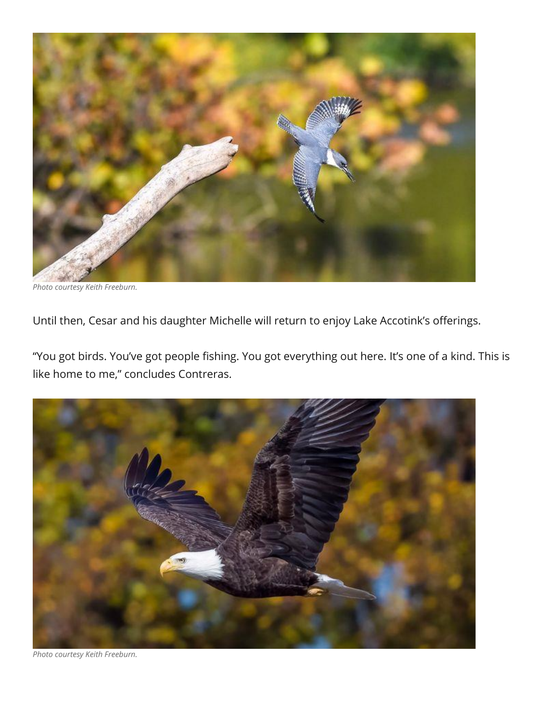

*Photo courtesy Keith Freeburn.*

Until then, Cesar and his daughter Michelle will return to enjoy Lake Accotink's offerings.

"You got birds. You've got people fishing. You got everything out here. It's one of a kind. This is like home to me," concludes Contreras.



*Photo courtesy Keith Freeburn.*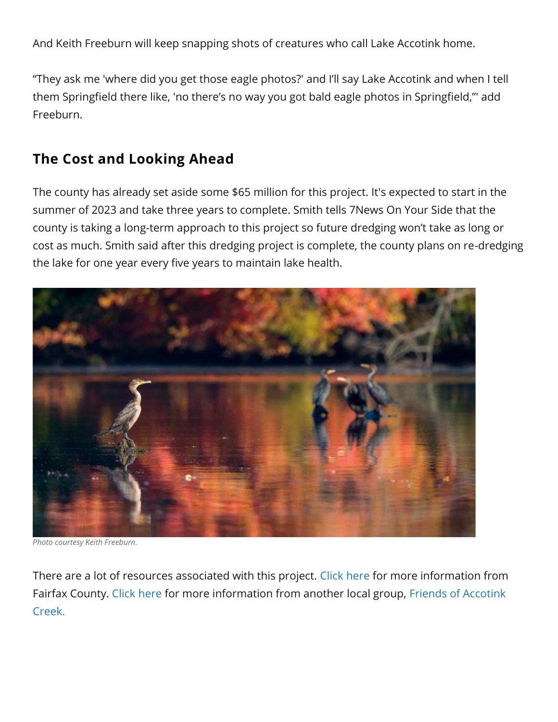And Keith Freeburn will keep snapping shots of creatures who call Lake Accotink home.

"They ask me 'where did you get those eagle photos?' and I'll say Lake Accotink and when I tell them Springfield there like, 'no there's no way you got bald eagle photos in Springfield,"' add Freeburn.

#### **The Cost and Looking Ahead**

The county has already set aside some \$65 million for this project. It's expected to start in the summer of 2023 and take three years to complete. Smith tells 7News On Your Side that the county is taking a long-term approach to this project so future dredging won't take as long or cost as much. Smith said after this dredging project is complete, the county plans on re-dredging the lake for one year every five years to maintain lake health.



*Photo courtesy Keith Freeburn.*

There are a lot of resources associated with this project. [Click here](https://www.fairfaxcounty.gov/publicworks/stormwater/plans-projects/lake-accotink-dredging-ac89-0009) for more information from Fairfax County. [Click here](https://www.accotink.org/2016/MasterPlanLakeAccotink2016.htm) for more information from another local group, [Friends of Accotink](https://www.facebook.com/AccotinkCreek/posts/10159857074669839)  [Creek.](https://www.facebook.com/AccotinkCreek/posts/10159857074669839)